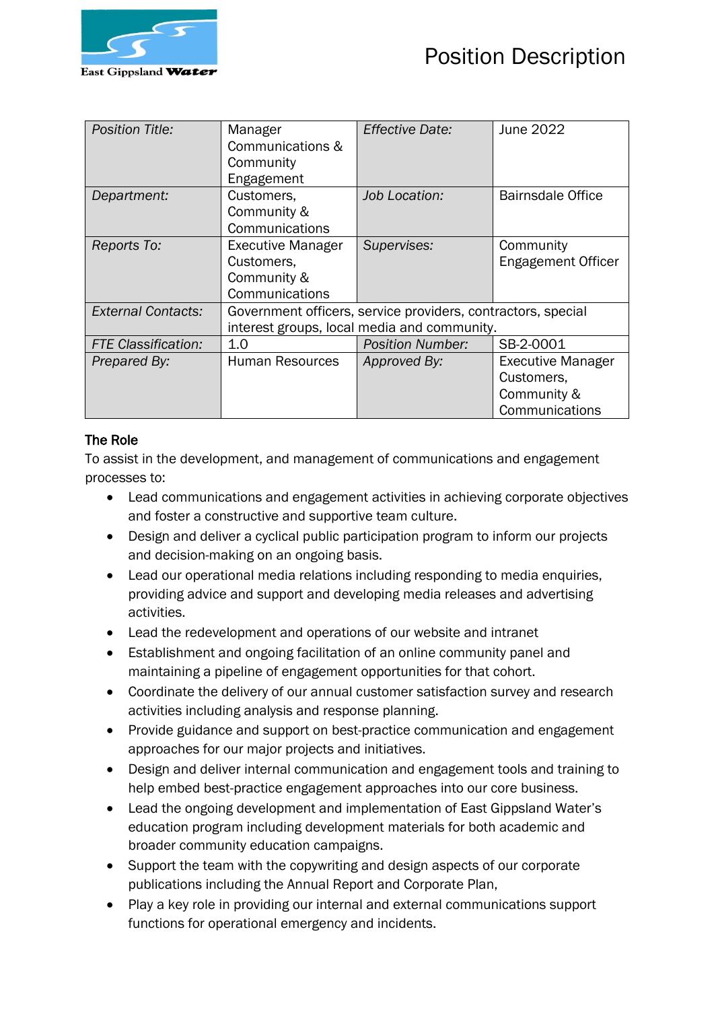

| <b>Position Title:</b>     | Manager<br>Communications &<br>Community<br>Engagement                  | <b>Effective Date:</b>                                                                                      | June 2022                                                               |
|----------------------------|-------------------------------------------------------------------------|-------------------------------------------------------------------------------------------------------------|-------------------------------------------------------------------------|
| Department:                | Customers.<br>Community &<br>Communications                             | Job Location:                                                                                               | <b>Bairnsdale Office</b>                                                |
| Reports To:                | <b>Executive Manager</b><br>Customers,<br>Community &<br>Communications | Supervises:                                                                                                 | Community<br><b>Engagement Officer</b>                                  |
| <b>External Contacts:</b>  |                                                                         | Government officers, service providers, contractors, special<br>interest groups, local media and community. |                                                                         |
| <b>FTE Classification:</b> | 1.0                                                                     | <b>Position Number:</b>                                                                                     | SB-2-0001                                                               |
| Prepared By:               | Human Resources                                                         | Approved By:                                                                                                | <b>Executive Manager</b><br>Customers,<br>Community &<br>Communications |

## The Role

To assist in the development, and management of communications and engagement processes to:

- Lead communications and engagement activities in achieving corporate objectives and foster a constructive and supportive team culture.
- Design and deliver a cyclical public participation program to inform our projects and decision-making on an ongoing basis.
- Lead our operational media relations including responding to media enquiries, providing advice and support and developing media releases and advertising activities.
- Lead the redevelopment and operations of our website and intranet
- Establishment and ongoing facilitation of an online community panel and maintaining a pipeline of engagement opportunities for that cohort.
- Coordinate the delivery of our annual customer satisfaction survey and research activities including analysis and response planning.
- Provide guidance and support on best-practice communication and engagement approaches for our major projects and initiatives.
- Design and deliver internal communication and engagement tools and training to help embed best-practice engagement approaches into our core business.
- Lead the ongoing development and implementation of East Gippsland Water's education program including development materials for both academic and broader community education campaigns.
- Support the team with the copywriting and design aspects of our corporate publications including the Annual Report and Corporate Plan,
- Play a key role in providing our internal and external communications support functions for operational emergency and incidents.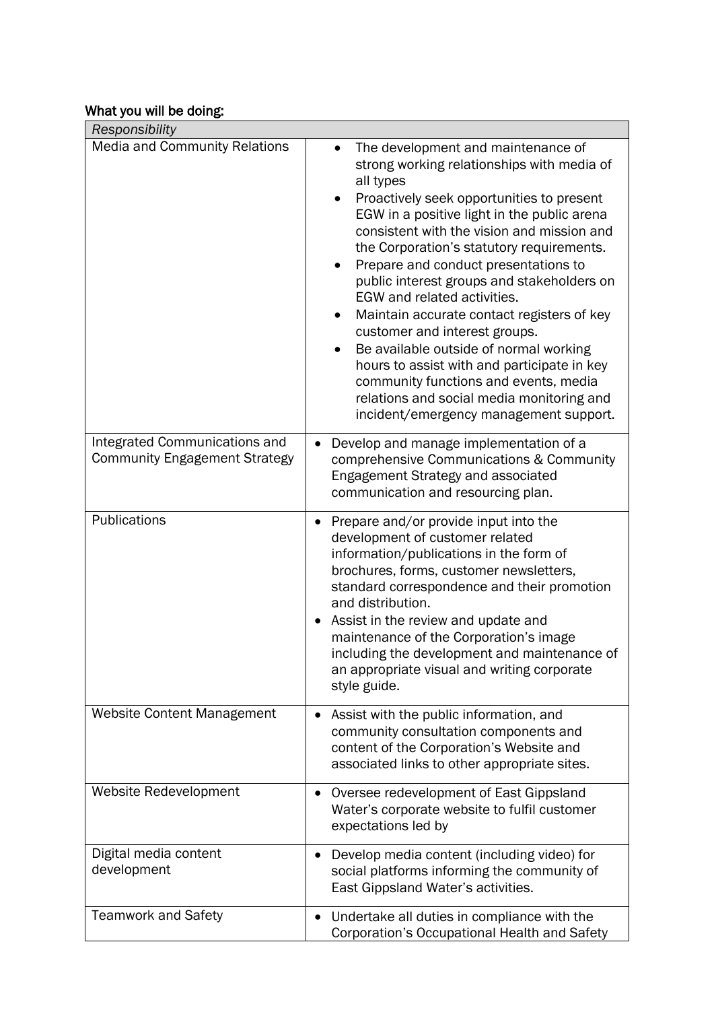# What you will be doing:

| Responsibility                                                        |                                                                                                                                                                                                                                                                                                                                                                                                                                                                                                                                                                                                                                                                                                                                             |
|-----------------------------------------------------------------------|---------------------------------------------------------------------------------------------------------------------------------------------------------------------------------------------------------------------------------------------------------------------------------------------------------------------------------------------------------------------------------------------------------------------------------------------------------------------------------------------------------------------------------------------------------------------------------------------------------------------------------------------------------------------------------------------------------------------------------------------|
| <b>Media and Community Relations</b>                                  | The development and maintenance of<br>strong working relationships with media of<br>all types<br>Proactively seek opportunities to present<br>EGW in a positive light in the public arena<br>consistent with the vision and mission and<br>the Corporation's statutory requirements.<br>Prepare and conduct presentations to<br>$\bullet$<br>public interest groups and stakeholders on<br>EGW and related activities.<br>Maintain accurate contact registers of key<br>$\bullet$<br>customer and interest groups.<br>Be available outside of normal working<br>hours to assist with and participate in key<br>community functions and events, media<br>relations and social media monitoring and<br>incident/emergency management support. |
| Integrated Communications and<br><b>Community Engagement Strategy</b> | Develop and manage implementation of a<br>$\bullet$<br>comprehensive Communications & Community<br>Engagement Strategy and associated<br>communication and resourcing plan.                                                                                                                                                                                                                                                                                                                                                                                                                                                                                                                                                                 |
| Publications                                                          | Prepare and/or provide input into the<br>development of customer related<br>information/publications in the form of<br>brochures, forms, customer newsletters,<br>standard correspondence and their promotion<br>and distribution.<br>Assist in the review and update and<br>maintenance of the Corporation's image<br>including the development and maintenance of<br>an appropriate visual and writing corporate<br>style guide.                                                                                                                                                                                                                                                                                                          |
| <b>Website Content Management</b>                                     | Assist with the public information, and<br>$\bullet$<br>community consultation components and<br>content of the Corporation's Website and<br>associated links to other appropriate sites.                                                                                                                                                                                                                                                                                                                                                                                                                                                                                                                                                   |
| Website Redevelopment                                                 | Oversee redevelopment of East Gippsland<br>Water's corporate website to fulfil customer<br>expectations led by                                                                                                                                                                                                                                                                                                                                                                                                                                                                                                                                                                                                                              |
| Digital media content<br>development                                  | Develop media content (including video) for<br>٠<br>social platforms informing the community of<br>East Gippsland Water's activities.                                                                                                                                                                                                                                                                                                                                                                                                                                                                                                                                                                                                       |
| <b>Teamwork and Safety</b>                                            | Undertake all duties in compliance with the<br>Corporation's Occupational Health and Safety                                                                                                                                                                                                                                                                                                                                                                                                                                                                                                                                                                                                                                                 |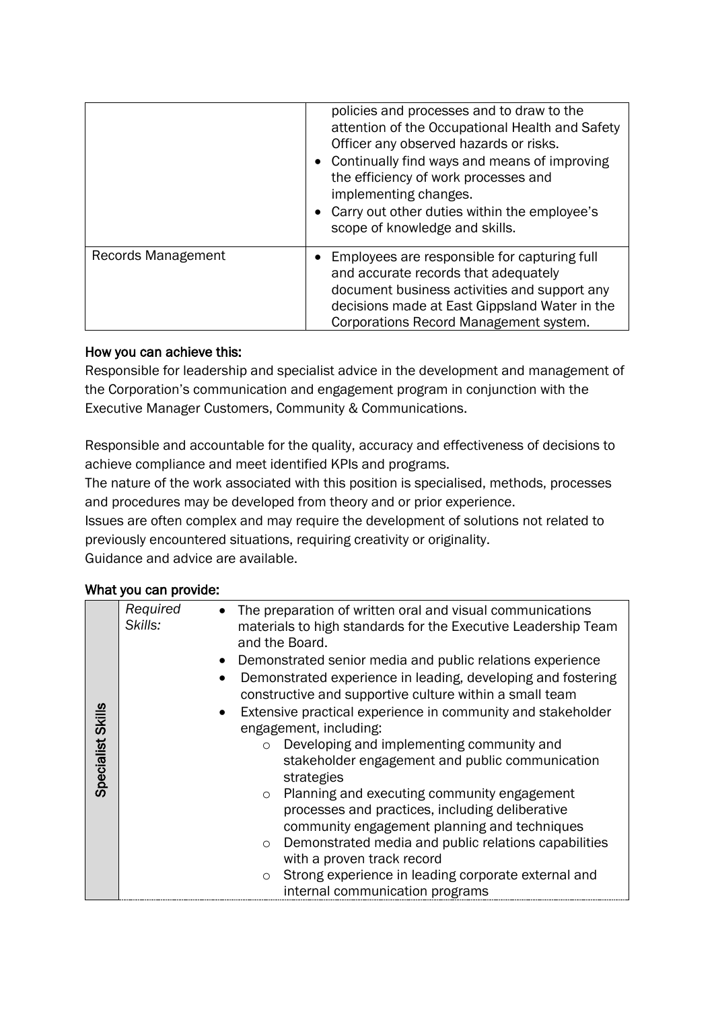|                    | policies and processes and to draw to the<br>attention of the Occupational Health and Safety<br>Officer any observed hazards or risks.<br>• Continually find ways and means of improving<br>the efficiency of work processes and<br>implementing changes.<br>• Carry out other duties within the employee's<br>scope of knowledge and skills. |
|--------------------|-----------------------------------------------------------------------------------------------------------------------------------------------------------------------------------------------------------------------------------------------------------------------------------------------------------------------------------------------|
| Records Management | • Employees are responsible for capturing full<br>and accurate records that adequately<br>document business activities and support any<br>decisions made at East Gippsland Water in the<br>Corporations Record Management system.                                                                                                             |

## How you can achieve this:

Responsible for leadership and specialist advice in the development and management of the Corporation's communication and engagement program in conjunction with the Executive Manager Customers, Community & Communications.

Responsible and accountable for the quality, accuracy and effectiveness of decisions to achieve compliance and meet identified KPIs and programs.

The nature of the work associated with this position is specialised, methods, processes and procedures may be developed from theory and or prior experience.

Issues are often complex and may require the development of solutions not related to previously encountered situations, requiring creativity or originality. Guidance and advice are available.

## What you can provide:

|                                 | Specialist Skills | Required<br>Skills: | $\Omega$<br>$\circ$<br>$\circ$ | The preparation of written oral and visual communications<br>materials to high standards for the Executive Leadership Team<br>and the Board.<br>Demonstrated senior media and public relations experience<br>Demonstrated experience in leading, developing and fostering<br>constructive and supportive culture within a small team<br>Extensive practical experience in community and stakeholder<br>engagement, including:<br>Developing and implementing community and<br>stakeholder engagement and public communication<br>strategies<br>Planning and executing community engagement<br>processes and practices, including deliberative<br>community engagement planning and techniques<br>Demonstrated media and public relations capabilities<br>with a proven track record |
|---------------------------------|-------------------|---------------------|--------------------------------|-------------------------------------------------------------------------------------------------------------------------------------------------------------------------------------------------------------------------------------------------------------------------------------------------------------------------------------------------------------------------------------------------------------------------------------------------------------------------------------------------------------------------------------------------------------------------------------------------------------------------------------------------------------------------------------------------------------------------------------------------------------------------------------|
| internal communication programs |                   |                     | $\circ$                        | Strong experience in leading corporate external and                                                                                                                                                                                                                                                                                                                                                                                                                                                                                                                                                                                                                                                                                                                                 |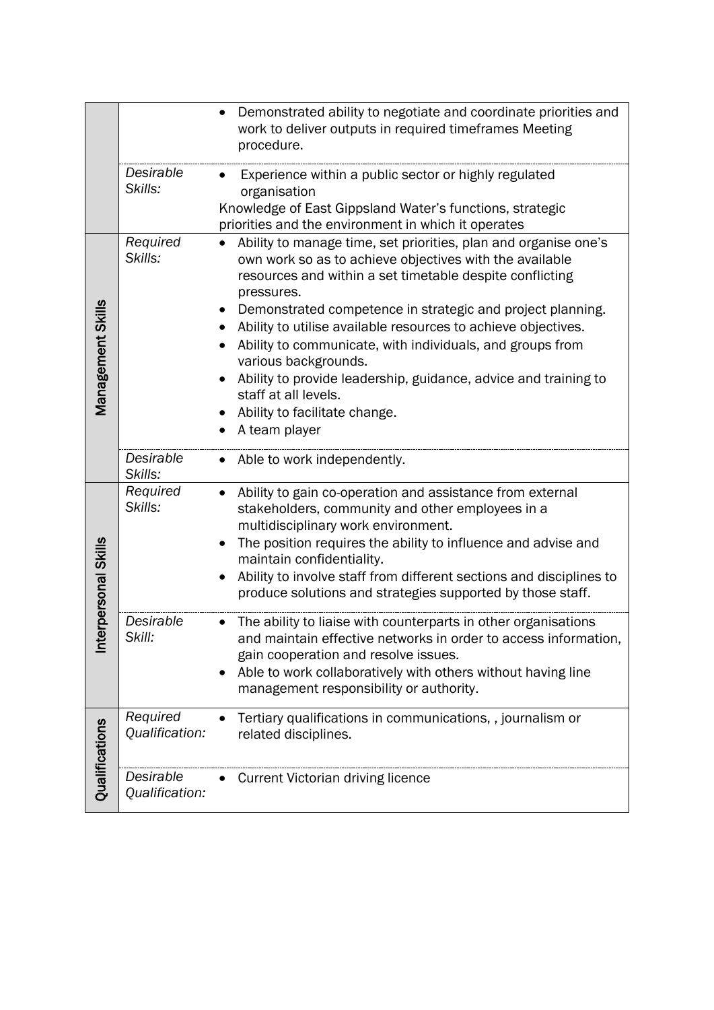|                        |                             | Demonstrated ability to negotiate and coordinate priorities and<br>work to deliver outputs in required timeframes Meeting<br>procedure.                                                                                                                                                                                                                                                                                                                                                                                                                               |
|------------------------|-----------------------------|-----------------------------------------------------------------------------------------------------------------------------------------------------------------------------------------------------------------------------------------------------------------------------------------------------------------------------------------------------------------------------------------------------------------------------------------------------------------------------------------------------------------------------------------------------------------------|
|                        | Desirable<br>Skills:        | Experience within a public sector or highly regulated<br>organisation<br>Knowledge of East Gippsland Water's functions, strategic<br>priorities and the environment in which it operates                                                                                                                                                                                                                                                                                                                                                                              |
| Management Skills      | Required<br>Skills:         | Ability to manage time, set priorities, plan and organise one's<br>own work so as to achieve objectives with the available<br>resources and within a set timetable despite conflicting<br>pressures.<br>Demonstrated competence in strategic and project planning.<br>Ability to utilise available resources to achieve objectives.<br>Ability to communicate, with individuals, and groups from<br>various backgrounds.<br>Ability to provide leadership, guidance, advice and training to<br>staff at all levels.<br>Ability to facilitate change.<br>A team player |
|                        | Desirable<br>Skills:        | Able to work independently.                                                                                                                                                                                                                                                                                                                                                                                                                                                                                                                                           |
| erpersonal Skills<br>트 | Required<br>Skills:         | Ability to gain co-operation and assistance from external<br>$\bullet$<br>stakeholders, community and other employees in a<br>multidisciplinary work environment.<br>The position requires the ability to influence and advise and<br>maintain confidentiality.<br>Ability to involve staff from different sections and disciplines to<br>produce solutions and strategies supported by those staff.                                                                                                                                                                  |
|                        | Desirable<br>Skill:         | The ability to liaise with counterparts in other organisations<br>and maintain effective networks in order to access information,<br>gain cooperation and resolve issues.<br>Able to work collaboratively with others without having line<br>management responsibility or authority.                                                                                                                                                                                                                                                                                  |
| Qualifications         | Required<br>Qualification:  | Tertiary qualifications in communications, , journalism or<br>related disciplines.                                                                                                                                                                                                                                                                                                                                                                                                                                                                                    |
|                        | Desirable<br>Qualification: | <b>Current Victorian driving licence</b>                                                                                                                                                                                                                                                                                                                                                                                                                                                                                                                              |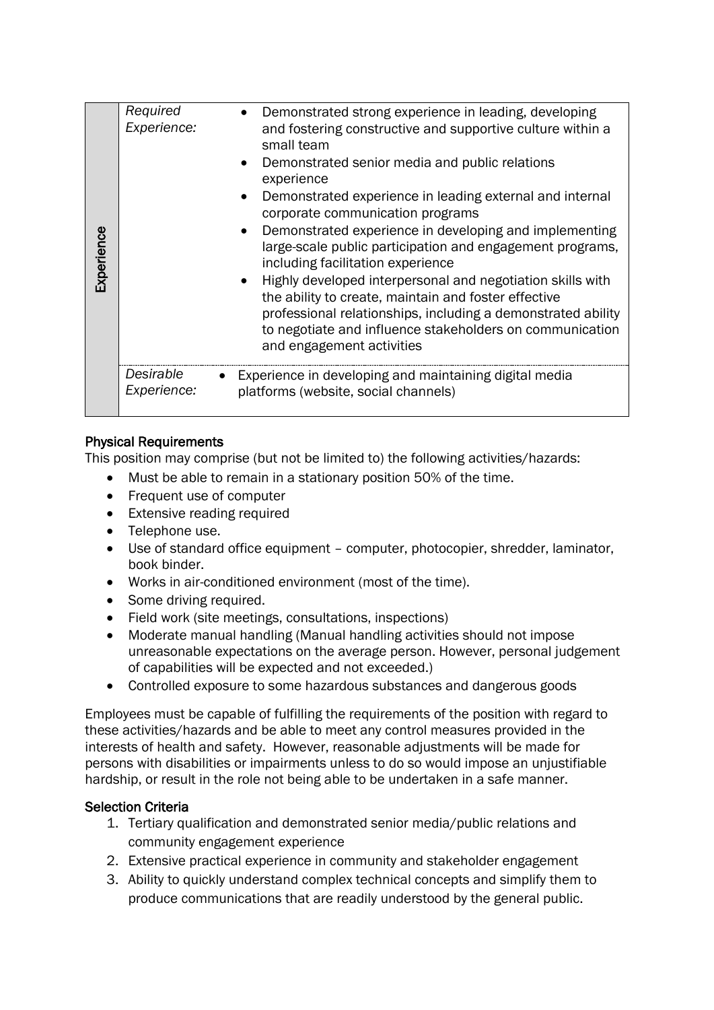| Experience | Required<br>Experience:  | Demonstrated strong experience in leading, developing<br>and fostering constructive and supportive culture within a<br>small team<br>Demonstrated senior media and public relations<br>experience<br>Demonstrated experience in leading external and internal<br>corporate communication programs<br>Demonstrated experience in developing and implementing<br>large-scale public participation and engagement programs,<br>including facilitation experience<br>Highly developed interpersonal and negotiation skills with<br>the ability to create, maintain and foster effective<br>professional relationships, including a demonstrated ability<br>to negotiate and influence stakeholders on communication<br>and engagement activities |
|------------|--------------------------|----------------------------------------------------------------------------------------------------------------------------------------------------------------------------------------------------------------------------------------------------------------------------------------------------------------------------------------------------------------------------------------------------------------------------------------------------------------------------------------------------------------------------------------------------------------------------------------------------------------------------------------------------------------------------------------------------------------------------------------------|
|            | Desirable<br>Experience: | Experience in developing and maintaining digital media<br>platforms (website, social channels)                                                                                                                                                                                                                                                                                                                                                                                                                                                                                                                                                                                                                                               |

## Physical Requirements

This position may comprise (but not be limited to) the following activities/hazards:

- Must be able to remain in a stationary position 50% of the time.
- Frequent use of computer
- Extensive reading required
- Telephone use.
- Use of standard office equipment computer, photocopier, shredder, laminator, book binder.
- Works in air-conditioned environment (most of the time).
- Some driving required.
- Field work (site meetings, consultations, inspections)
- Moderate manual handling (Manual handling activities should not impose unreasonable expectations on the average person. However, personal judgement of capabilities will be expected and not exceeded.)
- Controlled exposure to some hazardous substances and dangerous goods

Employees must be capable of fulfilling the requirements of the position with regard to these activities/hazards and be able to meet any control measures provided in the interests of health and safety. However, reasonable adjustments will be made for persons with disabilities or impairments unless to do so would impose an unjustifiable hardship, or result in the role not being able to be undertaken in a safe manner.

#### Selection Criteria

- 1. Tertiary qualification and demonstrated senior media/public relations and community engagement experience
- 2. Extensive practical experience in community and stakeholder engagement
- 3. Ability to quickly understand complex technical concepts and simplify them to produce communications that are readily understood by the general public.